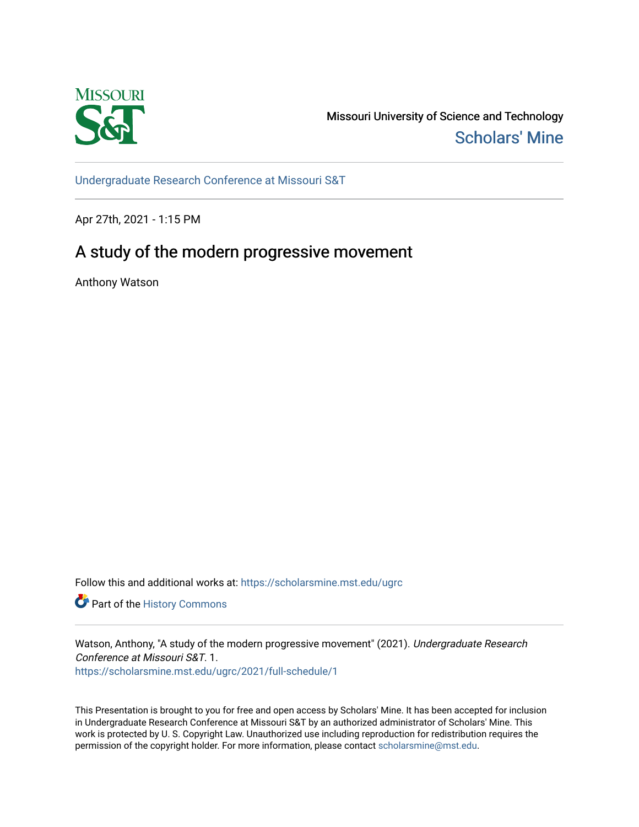

Missouri University of Science and Technology [Scholars' Mine](https://scholarsmine.mst.edu/) 

[Undergraduate Research Conference at Missouri S&T](https://scholarsmine.mst.edu/ugrc)

Apr 27th, 2021 - 1:15 PM

# A study of the modern progressive movement

Anthony Watson

Follow this and additional works at: [https://scholarsmine.mst.edu/ugrc](https://scholarsmine.mst.edu/ugrc?utm_source=scholarsmine.mst.edu%2Fugrc%2F2021%2Ffull-schedule%2F1&utm_medium=PDF&utm_campaign=PDFCoverPages) 

Part of the [History Commons](http://network.bepress.com/hgg/discipline/489?utm_source=scholarsmine.mst.edu%2Fugrc%2F2021%2Ffull-schedule%2F1&utm_medium=PDF&utm_campaign=PDFCoverPages) 

Watson, Anthony, "A study of the modern progressive movement" (2021). Undergraduate Research Conference at Missouri S&T. 1. [https://scholarsmine.mst.edu/ugrc/2021/full-schedule/1](https://scholarsmine.mst.edu/ugrc/2021/full-schedule/1?utm_source=scholarsmine.mst.edu%2Fugrc%2F2021%2Ffull-schedule%2F1&utm_medium=PDF&utm_campaign=PDFCoverPages)

This Presentation is brought to you for free and open access by Scholars' Mine. It has been accepted for inclusion in Undergraduate Research Conference at Missouri S&T by an authorized administrator of Scholars' Mine. This work is protected by U. S. Copyright Law. Unauthorized use including reproduction for redistribution requires the permission of the copyright holder. For more information, please contact [scholarsmine@mst.edu](mailto:scholarsmine@mst.edu).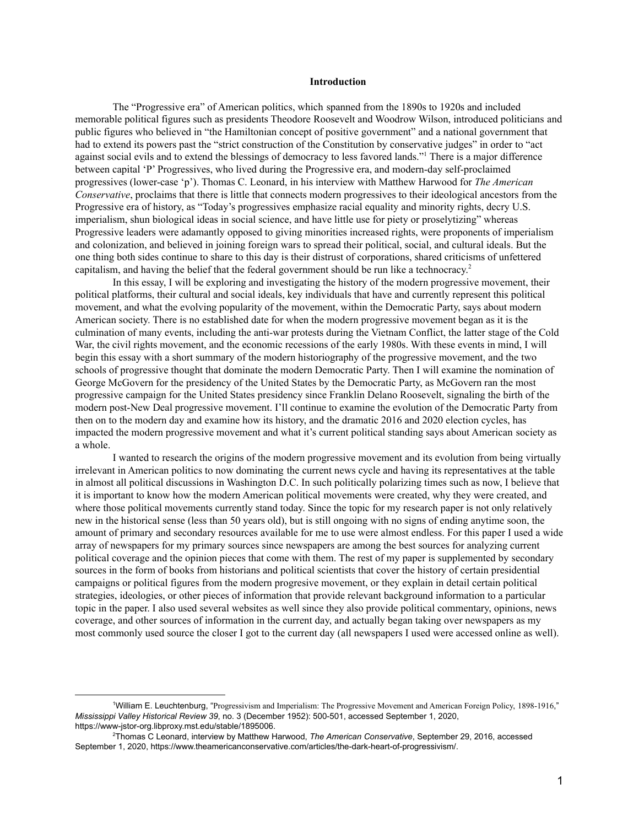#### **Introduction**

The "Progressive era" of American politics, which spanned from the 1890s to 1920s and included memorable political figures such as presidents Theodore Roosevelt and Woodrow Wilson, introduced politicians and public figures who believed in "the Hamiltonian concept of positive government" and a national government that had to extend its powers past the "strict construction of the Constitution by conservative judges" in order to "act against social evils and to extend the blessings of democracy to less favored lands."<sup>1</sup> There is a major difference between capital 'P' Progressives, who lived during the Progressive era, and modern-day self-proclaimed progressives (lower-case 'p'). Thomas C. Leonard, in his interview with Matthew Harwood for *The American Conservative*, proclaims that there is little that connects modern progressives to their ideological ancestors from the Progressive era of history, as "Today's progressives emphasize racial equality and minority rights, decry U.S. imperialism, shun biological ideas in social science, and have little use for piety or proselytizing" whereas Progressive leaders were adamantly opposed to giving minorities increased rights, were proponents of imperialism and colonization, and believed in joining foreign wars to spread their political, social, and cultural ideals. But the one thing both sides continue to share to this day is their distrust of corporations, shared criticisms of unfettered capitalism, and having the belief that the federal government should be run like a technocracy. 2

In this essay, I will be exploring and investigating the history of the modern progressive movement, their political platforms, their cultural and social ideals, key individuals that have and currently represent this political movement, and what the evolving popularity of the movement, within the Democratic Party, says about modern American society. There is no established date for when the modern progressive movement began as it is the culmination of many events, including the anti-war protests during the Vietnam Conflict, the latter stage of the Cold War, the civil rights movement, and the economic recessions of the early 1980s. With these events in mind, I will begin this essay with a short summary of the modern historiography of the progressive movement, and the two schools of progressive thought that dominate the modern Democratic Party. Then I will examine the nomination of George McGovern for the presidency of the United States by the Democratic Party, as McGovern ran the most progressive campaign for the United States presidency since Franklin Delano Roosevelt, signaling the birth of the modern post-New Deal progressive movement. I'll continue to examine the evolution of the Democratic Party from then on to the modern day and examine how its history, and the dramatic 2016 and 2020 election cycles, has impacted the modern progressive movement and what it's current political standing says about American society as a whole.

I wanted to research the origins of the modern progressive movement and its evolution from being virtually irrelevant in American politics to now dominating the current news cycle and having its representatives at the table in almost all political discussions in Washington D.C. In such politically polarizing times such as now, I believe that it is important to know how the modern American political movements were created, why they were created, and where those political movements currently stand today. Since the topic for my research paper is not only relatively new in the historical sense (less than 50 years old), but is still ongoing with no signs of ending anytime soon, the amount of primary and secondary resources available for me to use were almost endless. For this paper I used a wide array of newspapers for my primary sources since newspapers are among the best sources for analyzing current political coverage and the opinion pieces that come with them. The rest of my paper is supplemented by secondary sources in the form of books from historians and political scientists that cover the history of certain presidential campaigns or political figures from the modern progresive movement, or they explain in detail certain political strategies, ideologies, or other pieces of information that provide relevant background information to a particular topic in the paper. I also used several websites as well since they also provide political commentary, opinions, news coverage, and other sources of information in the current day, and actually began taking over newspapers as my most commonly used source the closer I got to the current day (all newspapers I used were accessed online as well).

<sup>1</sup>William E. Leuchtenburg, "Progressivism and Imperialism: The Progressive Movement and American Foreign Policy, 1898-1916," *Mississippi Valley Historical Review 39*, no. 3 (December 1952): 500-501, accessed September 1, 2020, https://www-jstor-org.libproxy.mst.edu/stable/1895006.

<sup>2</sup>Thomas C Leonard, interview by Matthew Harwood, *The American Conservative*, September 29, 2016, accessed September 1, 2020, https://www.theamericanconservative.com/articles/the-dark-heart-of-progressivism/.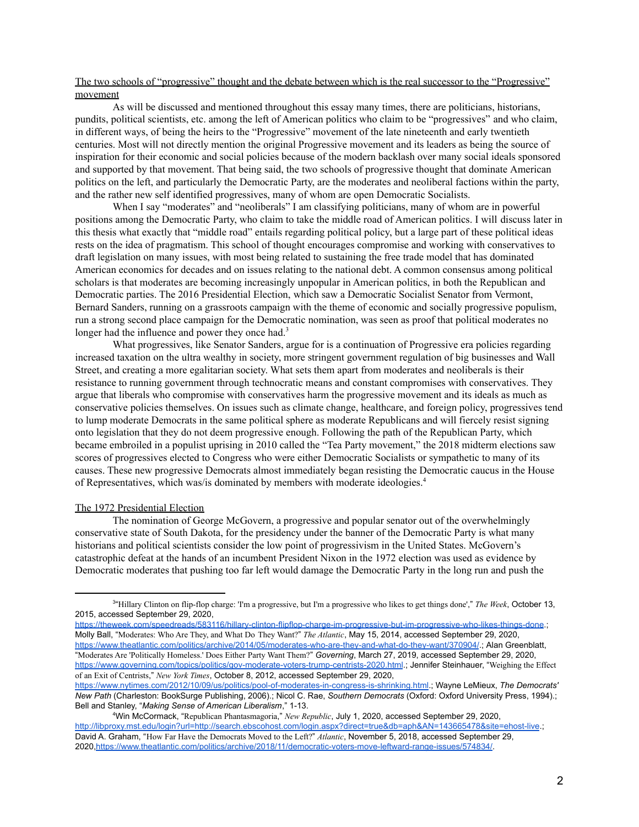## The two schools of "progressive" thought and the debate between which is the real successor to the "Progressive" movement

As will be discussed and mentioned throughout this essay many times, there are politicians, historians, pundits, political scientists, etc. among the left of American politics who claim to be "progressives" and who claim, in different ways, of being the heirs to the "Progressive" movement of the late nineteenth and early twentieth centuries. Most will not directly mention the original Progressive movement and its leaders as being the source of inspiration for their economic and social policies because of the modern backlash over many social ideals sponsored and supported by that movement. That being said, the two schools of progressive thought that dominate American politics on the left, and particularly the Democratic Party, are the moderates and neoliberal factions within the party, and the rather new self identified progressives, many of whom are open Democratic Socialists.

When I say "moderates" and "neoliberals" I am classifying politicians, many of whom are in powerful positions among the Democratic Party, who claim to take the middle road of American politics. I will discuss later in this thesis what exactly that "middle road" entails regarding political policy, but a large part of these political ideas rests on the idea of pragmatism. This school of thought encourages compromise and working with conservatives to draft legislation on many issues, with most being related to sustaining the free trade model that has dominated American economics for decades and on issues relating to the national debt. A common consensus among political scholars is that moderates are becoming increasingly unpopular in American politics, in both the Republican and Democratic parties. The 2016 Presidential Election, which saw a Democratic Socialist Senator from Vermont, Bernard Sanders, running on a grassroots campaign with the theme of economic and socially progressive populism, run a strong second place campaign for the Democratic nomination, was seen as proof that political moderates no longer had the influence and power they once had.<sup>3</sup>

What progressives, like Senator Sanders, argue for is a continuation of Progressive era policies regarding increased taxation on the ultra wealthy in society, more stringent government regulation of big businesses and Wall Street, and creating a more egalitarian society. What sets them apart from moderates and neoliberals is their resistance to running government through technocratic means and constant compromises with conservatives. They argue that liberals who compromise with conservatives harm the progressive movement and its ideals as much as conservative policies themselves. On issues such as climate change, healthcare, and foreign policy, progressives tend to lump moderate Democrats in the same political sphere as moderate Republicans and will fiercely resist signing onto legislation that they do not deem progressive enough. Following the path of the Republican Party, which became embroiled in a populist uprising in 2010 called the "Tea Party movement," the 2018 midterm elections saw scores of progressives elected to Congress who were either Democratic Socialists or sympathetic to many of its causes. These new progressive Democrats almost immediately began resisting the Democratic caucus in the House of Representatives, which was/is dominated by members with moderate ideologies. 4

#### The 1972 Presidential Election

The nomination of George McGovern, a progressive and popular senator out of the overwhelmingly conservative state of South Dakota, for the presidency under the banner of the Democratic Party is what many historians and political scientists consider the low point of progressivism in the United States. McGovern's catastrophic defeat at the hands of an incumbent President Nixon in the 1972 election was used as evidence by Democratic moderates that pushing too far left would damage the Democratic Party in the long run and push the

<https://theweek.com/speedreads/583116/hillary-clinton-flipflop-charge-im-progressive-but-im-progressive-who-likes-things-done>.; Molly Ball, "Moderates: Who Are They, and What Do They Want?" *The Atlantic*, May 15, 2014, accessed September 29, 2020, <https://www.theatlantic.com/politics/archive/2014/05/moderates-who-are-they-and-what-do-they-want/370904/>.; Alan Greenblatt, "Moderates Are 'Politically Homeless.' Does Either Party Want Them?" *Governing*, March 27, 2019, accessed September 29, 2020, <https://www.governing.com/topics/politics/gov-moderate-voters-trump-centrists-2020.html>.; Jennifer Steinhauer, "Weighing the Effect of an Exit of Centrists," *New York Times*, October 8, 2012, accessed September 29, 2020,

<sup>3</sup> "Hillary Clinton on flip-flop charge: 'I'm a progressive, but I'm a progressive who likes to get things done'," *The Week*, October 13, 2015, accessed September 29, 2020,

[https://www.nytimes.com/2012/10/09/us/politics/pool-of-moderates-in-congress-is-shrinking.html.](https://www.nytimes.com/2012/10/09/us/politics/pool-of-moderates-in-congress-is-shrinking.html); Wayne LeMieux, *The Democrats' New Path* (Charleston: BookSurge Publishing, 2006).; Nicol C. Rae, *Southern Democrats* (Oxford: Oxford University Press, 1994).; Bell and Stanley, "*Making Sense of American Liberalism*," 1-13.

<sup>4</sup>Win McCormack, "Republican Phantasmagoria," *New Republic*, July 1, 2020, accessed September 29, 2020, <http://libproxy.mst.edu/login?url=http://search.ebscohost.com/login.aspx?direct=true&db=aph&AN=143665478&site=ehost-live>.; David A. Graham, "How Far Have the Democrats Moved to the Left?" *Atlantic*, November 5, 2018, accessed September 29, 2020,<https://www.theatlantic.com/politics/archive/2018/11/democratic-voters-move-leftward-range-issues/574834/>.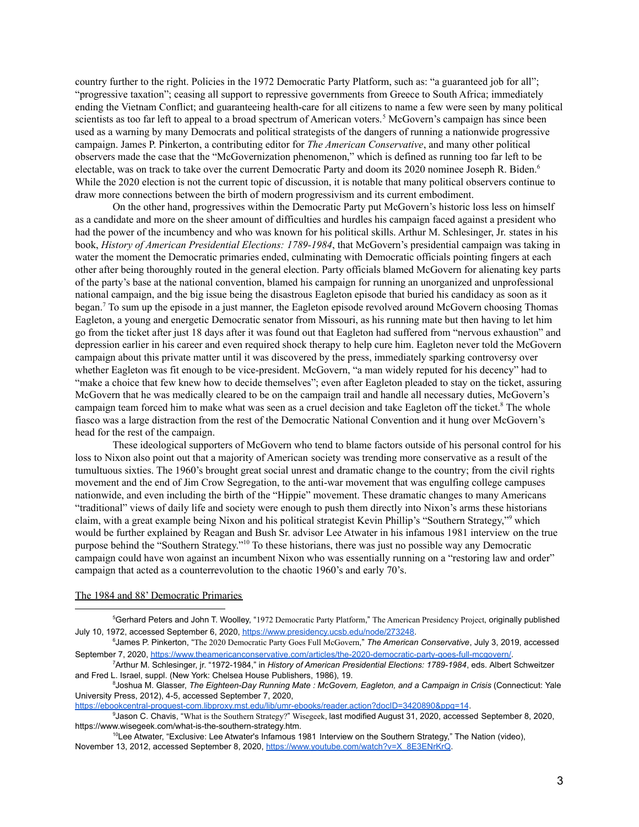country further to the right. Policies in the 1972 Democratic Party Platform, such as: "a guaranteed job for all"; "progressive taxation"; ceasing all support to repressive governments from Greece to South Africa; immediately ending the Vietnam Conflict; and guaranteeing health-care for all citizens to name a few were seen by many political scientists as too far left to appeal to a broad spectrum of American voters.<sup>5</sup> McGovern's campaign has since been used as a warning by many Democrats and political strategists of the dangers of running a nationwide progressive campaign. James P. Pinkerton, a contributing editor for *The American Conservative*, and many other political observers made the case that the "McGovernization phenomenon," which is defined as running too far left to be electable, was on track to take over the current Democratic Party and doom its 2020 nominee Joseph R. Biden. 6 While the 2020 election is not the current topic of discussion, it is notable that many political observers continue to draw more connections between the birth of modern progressivism and its current embodiment.

On the other hand, progressives within the Democratic Party put McGovern's historic loss less on himself as a candidate and more on the sheer amount of difficulties and hurdles his campaign faced against a president who had the power of the incumbency and who was known for his political skills. Arthur M. Schlesinger, Jr. states in his book, *History of American Presidential Elections: 1789-1984*, that McGovern's presidential campaign was taking in water the moment the Democratic primaries ended, culminating with Democratic officials pointing fingers at each other after being thoroughly routed in the general election. Party officials blamed McGovern for alienating key parts of the party's base at the national convention, blamed his campaign for running an unorganized and unprofessional national campaign, and the big issue being the disastrous Eagleton episode that buried his candidacy as soon as it began.<sup>7</sup> To sum up the episode in a just manner, the Eagleton episode revolved around McGovern choosing Thomas Eagleton, a young and energetic Democratic senator from Missouri, as his running mate but then having to let him go from the ticket after just 18 days after it was found out that Eagleton had suffered from "nervous exhaustion" and depression earlier in his career and even required shock therapy to help cure him. Eagleton never told the McGovern campaign about this private matter until it was discovered by the press, immediately sparking controversy over whether Eagleton was fit enough to be vice-president. McGovern, "a man widely reputed for his decency" had to "make a choice that few knew how to decide themselves"; even after Eagleton pleaded to stay on the ticket, assuring McGovern that he was medically cleared to be on the campaign trail and handle all necessary duties, McGovern's campaign team forced him to make what was seen as a cruel decision and take Eagleton off the ticket.<sup>8</sup> The whole fiasco was a large distraction from the rest of the Democratic National Convention and it hung over McGovern's head for the rest of the campaign.

These ideological supporters of McGovern who tend to blame factors outside of his personal control for his loss to Nixon also point out that a majority of American society was trending more conservative as a result of the tumultuous sixties. The 1960's brought great social unrest and dramatic change to the country; from the civil rights movement and the end of Jim Crow Segregation, to the anti-war movement that was engulfing college campuses nationwide, and even including the birth of the "Hippie" movement. These dramatic changes to many Americans "traditional" views of daily life and society were enough to push them directly into Nixon's arms these historians claim, with a great example being Nixon and his political strategist Kevin Phillip's "Southern Strategy," which would be further explained by Reagan and Bush Sr. advisor Lee Atwater in his infamous 1981 interview on the true purpose behind the "Southern Strategy."<sup>10</sup> To these historians, there was just no possible way any Democratic campaign could have won against an incumbent Nixon who was essentially running on a "restoring law and order" campaign that acted as a counterrevolution to the chaotic 1960's and early 70's.

#### The 1984 and 88' Democratic Primaries

<https://ebookcentral-proquest-com.libproxy.mst.edu/lib/umr-ebooks/reader.action?docID=3420890&ppg=14>.

<sup>9</sup>Jason C. Chavis, "What is the Southern Strategy?" Wisegeek, last modified August 31, 2020, accessed September 8, 2020, https://www.wisegeek.com/what-is-the-southern-strategy.htm.

<sup>5</sup>Gerhard Peters and John T. Woolley, "1972 Democratic Party Platform," The American Presidency Project, originally published July 10, 1972, accessed September 6, 2020, <https://www.presidency.ucsb.edu/node/273248>.

<sup>6</sup>James P. Pinkerton, "The 2020 Democratic Party Goes Full McGovern," *The American Conservative*, July 3, 2019, accessed September 7, 2020, [https://www.theamericanconservative.com/articles/the-2020-democratic-party-goes-full-mcgovern/.](https://www.theamericanconservative.com/articles/the-2020-democratic-party-goes-full-mcgovern/)

<sup>7</sup>Arthur M. Schlesinger, jr. "1972-1984," in *History of American Presidential Elections: 1789-1984*, eds. Albert Schweitzer and Fred L. Israel, suppl. (New York: Chelsea House Publishers, 1986), 19.

<sup>8</sup>Joshua M. Glasser, *The Eighteen-Day Running Mate : McGovern, Eagleton, and a Campaign in Crisis* (Connecticut: Yale University Press, 2012), 4-5, accessed September 7, 2020,

<sup>10</sup>Lee Atwater, "Exclusive: Lee Atwater's Infamous 1981 Interview on the Southern Strategy," The Nation (video), November 13, 2012, accessed September 8, 2020, [https://www.youtube.com/watch?v=X\\_8E3ENrKrQ](https://www.youtube.com/watch?v=X_8E3ENrKrQ).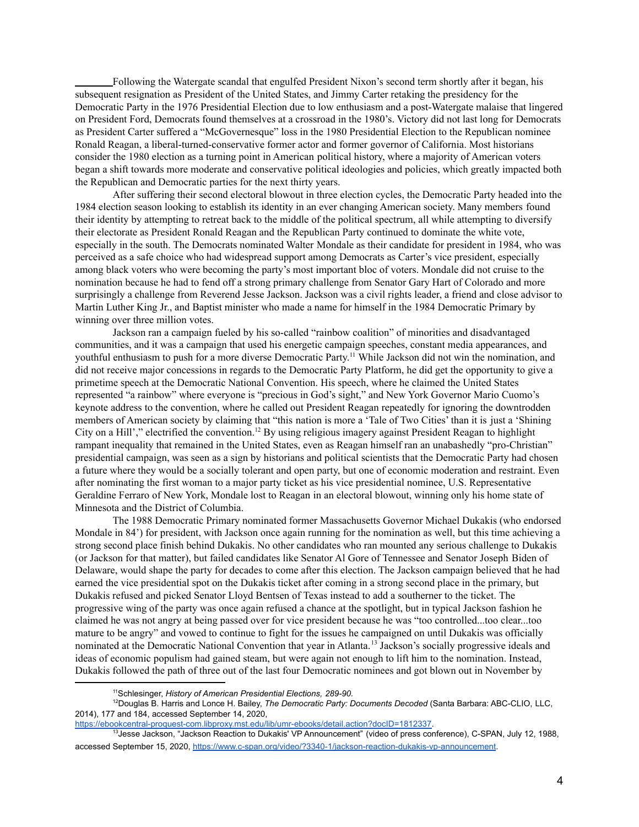Following the Watergate scandal that engulfed President Nixon's second term shortly after it began, his subsequent resignation as President of the United States, and Jimmy Carter retaking the presidency for the Democratic Party in the 1976 Presidential Election due to low enthusiasm and a post-Watergate malaise that lingered on President Ford, Democrats found themselves at a crossroad in the 1980's. Victory did not last long for Democrats as President Carter suffered a "McGovernesque" loss in the 1980 Presidential Election to the Republican nominee Ronald Reagan, a liberal-turned-conservative former actor and former governor of California. Most historians consider the 1980 election as a turning point in American political history, where a majority of American voters began a shift towards more moderate and conservative political ideologies and policies, which greatly impacted both the Republican and Democratic parties for the next thirty years.

After suffering their second electoral blowout in three election cycles, the Democratic Party headed into the 1984 election season looking to establish its identity in an ever changing American society. Many members found their identity by attempting to retreat back to the middle of the political spectrum, all while attempting to diversify their electorate as President Ronald Reagan and the Republican Party continued to dominate the white vote, especially in the south. The Democrats nominated Walter Mondale as their candidate for president in 1984, who was perceived as a safe choice who had widespread support among Democrats as Carter's vice president, especially among black voters who were becoming the party's most important bloc of voters. Mondale did not cruise to the nomination because he had to fend off a strong primary challenge from Senator Gary Hart of Colorado and more surprisingly a challenge from Reverend Jesse Jackson. Jackson was a civil rights leader, a friend and close advisor to Martin Luther King Jr., and Baptist minister who made a name for himself in the 1984 Democratic Primary by winning over three million votes.

Jackson ran a campaign fueled by his so-called "rainbow coalition" of minorities and disadvantaged communities, and it was a campaign that used his energetic campaign speeches, constant media appearances, and youthful enthusiasm to push for a more diverse Democratic Party.<sup>11</sup> While Jackson did not win the nomination, and did not receive major concessions in regards to the Democratic Party Platform, he did get the opportunity to give a primetime speech at the Democratic National Convention. His speech, where he claimed the United States represented "a rainbow" where everyone is "precious in God's sight," and New York Governor Mario Cuomo's keynote address to the convention, where he called out President Reagan repeatedly for ignoring the downtrodden members of American society by claiming that "this nation is more a 'Tale of Two Cities' than it is just a 'Shining City on a Hill'," electrified the convention.<sup>12</sup> By using religious imagery against President Reagan to highlight rampant inequality that remained in the United States, even as Reagan himself ran an unabashedly "pro-Christian" presidential campaign, was seen as a sign by historians and political scientists that the Democratic Party had chosen a future where they would be a socially tolerant and open party, but one of economic moderation and restraint. Even after nominating the first woman to a major party ticket as his vice presidential nominee, U.S. Representative Geraldine Ferraro of New York, Mondale lost to Reagan in an electoral blowout, winning only his home state of Minnesota and the District of Columbia.

The 1988 Democratic Primary nominated former Massachusetts Governor Michael Dukakis (who endorsed Mondale in 84') for president, with Jackson once again running for the nomination as well, but this time achieving a strong second place finish behind Dukakis. No other candidates who ran mounted any serious challenge to Dukakis (or Jackson for that matter), but failed candidates like Senator Al Gore of Tennessee and Senator Joseph Biden of Delaware, would shape the party for decades to come after this election. The Jackson campaign believed that he had earned the vice presidential spot on the Dukakis ticket after coming in a strong second place in the primary, but Dukakis refused and picked Senator Lloyd Bentsen of Texas instead to add a southerner to the ticket. The progressive wing of the party was once again refused a chance at the spotlight, but in typical Jackson fashion he claimed he was not angry at being passed over for vice president because he was "too controlled...too clear...too mature to be angry" and vowed to continue to fight for the issues he campaigned on until Dukakis was officially nominated at the Democratic National Convention that year in Atlanta.<sup>13</sup> Jackson's socially progressive ideals and ideas of economic populism had gained steam, but were again not enough to lift him to the nomination. Instead, Dukakis followed the path of three out of the last four Democratic nominees and got blown out in November by

<sup>11</sup>Schlesinger, *History of American Presidential Elections, 289-90.*

<sup>12</sup>Douglas B. Harris and Lonce H. Bailey, *The Democratic Party: Documents Decoded* (Santa Barbara: ABC-CLIO, LLC, 2014), 177 and 184, accessed September 14, 2020,

[https://ebookcentral-proquest-com.libproxy.mst.edu/lib/umr-ebooks/detail.action?docID=1812337.](https://ebookcentral-proquest-com.libproxy.mst.edu/lib/umr-ebooks/detail.action?docID=1812337)

<sup>&</sup>lt;sup>3</sup>Jesse Jackson, "Jackson Reaction to Dukakis' VP Announcement" (video of press conference), C-SPAN, July 12, 1988, accessed September 15, 2020, <https://www.c-span.org/video/?3340-1/jackson-reaction-dukakis-vp-announcement>.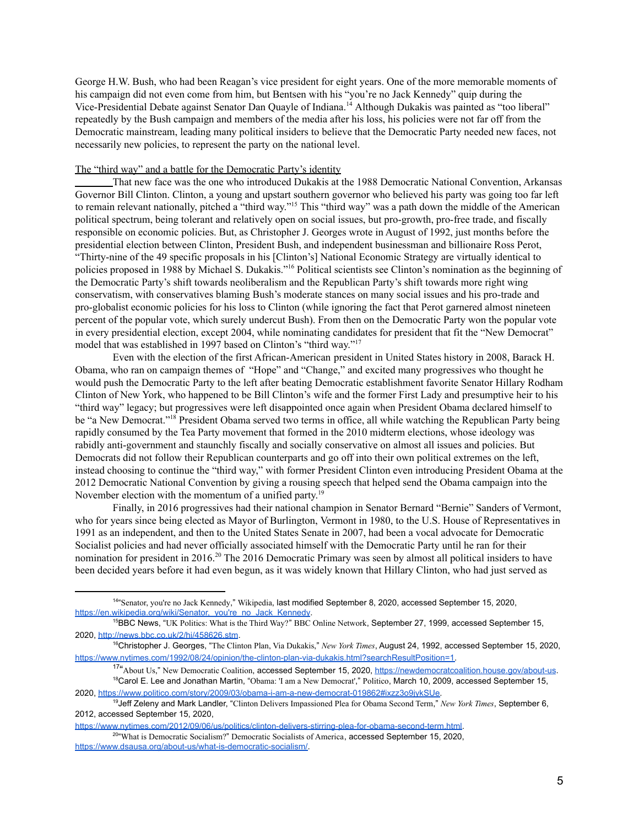George H.W. Bush, who had been Reagan's vice president for eight years. One of the more memorable moments of his campaign did not even come from him, but Bentsen with his "you're no Jack Kennedy" quip during the Vice-Presidential Debate against Senator Dan Quayle of Indiana.<sup>14</sup> Although Dukakis was painted as "too liberal" repeatedly by the Bush campaign and members of the media after his loss, his policies were not far off from the Democratic mainstream, leading many political insiders to believe that the Democratic Party needed new faces, not necessarily new policies, to represent the party on the national level.

### The "third way" and a battle for the Democratic Party's identity

That new face was the one who introduced Dukakis at the 1988 Democratic National Convention, Arkansas Governor Bill Clinton. Clinton, a young and upstart southern governor who believed his party was going too far left to remain relevant nationally, pitched a "third way."<sup>15</sup> This "third way" was a path down the middle of the American political spectrum, being tolerant and relatively open on social issues, but pro-growth, pro-free trade, and fiscally responsible on economic policies. But, as Christopher J. Georges wrote in August of 1992, just months before the presidential election between Clinton, President Bush, and independent businessman and billionaire Ross Perot, "Thirty-nine of the 49 specific proposals in his [Clinton's] National Economic Strategy are virtually identical to policies proposed in 1988 by Michael S. Dukakis."<sup>16</sup> Political scientists see Clinton's nomination as the beginning of the Democratic Party's shift towards neoliberalism and the Republican Party's shift towards more right wing conservatism, with conservatives blaming Bush's moderate stances on many social issues and his pro-trade and pro-globalist economic policies for his loss to Clinton (while ignoring the fact that Perot garnered almost nineteen percent of the popular vote, which surely undercut Bush). From then on the Democratic Party won the popular vote in every presidential election, except 2004, while nominating candidates for president that fit the "New Democrat" model that was established in 1997 based on Clinton's "third way."<sup>17</sup>

Even with the election of the first African-American president in United States history in 2008, Barack H. Obama, who ran on campaign themes of "Hope" and "Change," and excited many progressives who thought he would push the Democratic Party to the left after beating Democratic establishment favorite Senator Hillary Rodham Clinton of New York, who happened to be Bill Clinton's wife and the former First Lady and presumptive heir to his "third way" legacy; but progressives were left disappointed once again when President Obama declared himself to be "a New Democrat."<sup>18</sup> President Obama served two terms in office, all while watching the Republican Party being rapidly consumed by the Tea Party movement that formed in the 2010 midterm elections, whose ideology was rabidly anti-government and staunchly fiscally and socially conservative on almost all issues and policies. But Democrats did not follow their Republican counterparts and go off into their own political extremes on the left, instead choosing to continue the "third way," with former President Clinton even introducing President Obama at the 2012 Democratic National Convention by giving a rousing speech that helped send the Obama campaign into the November election with the momentum of a unified party.<sup>19</sup>

Finally, in 2016 progressives had their national champion in Senator Bernard "Bernie" Sanders of Vermont, who for years since being elected as Mayor of Burlington, Vermont in 1980, to the U.S. House of Representatives in 1991 as an independent, and then to the United States Senate in 2007, had been a vocal advocate for Democratic Socialist policies and had never officially associated himself with the Democratic Party until he ran for their nomination for president in 2016.<sup>20</sup> The 2016 Democratic Primary was seen by almost all political insiders to have been decided years before it had even begun, as it was widely known that Hillary Clinton, who had just served as

<sup>20</sup> What is Democratic Socialism?" Democratic Socialists of America, accessed September 15, 2020, [https://www.dsausa.org/about-us/what-is-democratic-socialism/.](https://www.dsausa.org/about-us/what-is-democratic-socialism/) [https://www.nytimes.com/2012/09/06/us/politics/clinton-delivers-stirring-plea-for-obama-second-term.html.](https://www.nytimes.com/2012/09/06/us/politics/clinton-delivers-stirring-plea-for-obama-second-term.html)

<sup>14</sup> "Senator, you're no Jack Kennedy," Wikipedia, last modified September 8, 2020, accessed September 15, 2020, https://en.wikipedia.org/wiki/Senator, you're no Jack Kennedy.

<sup>&</sup>lt;sup>15</sup>BBC News, "UK Politics: What is the Third Way?" BBC Online Network, September 27, 1999, accessed September 15, 2020, <http://news.bbc.co.uk/2/hi/458626.stm>.

<sup>16</sup>Christopher J. Georges, "The Clinton Plan, Via Dukakis," *New York Times*, August 24, 1992, accessed September 15, 2020, [https://www.nytimes.com/1992/08/24/opinion/the-clinton-plan-via-dukakis.html?searchResultPosition=1.](https://www.nytimes.com/1992/08/24/opinion/the-clinton-plan-via-dukakis.html?searchResultPosition=1)

<sup>18</sup>Carol E. Lee and Jonathan Martin, "Obama: 'I am a New Democrat'," Politico, March 10, 2009, accessed September 15, 2020, [https://www.politico.com/story/2009/03/obama-i-am-a-new-democrat-019862#ixzz3o9jykSUe.](https://www.politico.com/story/2009/03/obama-i-am-a-new-democrat-019862#ixzz3o9jykSUe) <sup>17</sup>"About Us," New Democratic Coalition, accessed September 15, 2020, <https://newdemocratcoalition.house.gov/about-us>.

<sup>19</sup>Jeff Zeleny and Mark Landler, "Clinton Delivers Impassioned Plea for Obama Second Term," *New York Times*, September 6, 2012, accessed September 15, 2020,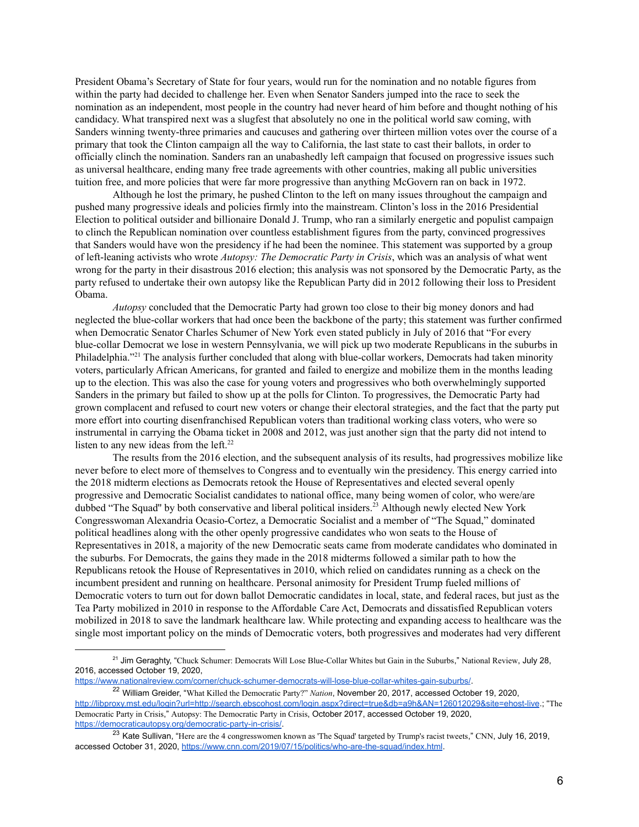President Obama's Secretary of State for four years, would run for the nomination and no notable figures from within the party had decided to challenge her. Even when Senator Sanders jumped into the race to seek the nomination as an independent, most people in the country had never heard of him before and thought nothing of his candidacy. What transpired next was a slugfest that absolutely no one in the political world saw coming, with Sanders winning twenty-three primaries and caucuses and gathering over thirteen million votes over the course of a primary that took the Clinton campaign all the way to California, the last state to cast their ballots, in order to officially clinch the nomination. Sanders ran an unabashedly left campaign that focused on progressive issues such as universal healthcare, ending many free trade agreements with other countries, making all public universities tuition free, and more policies that were far more progressive than anything McGovern ran on back in 1972.

Although he lost the primary, he pushed Clinton to the left on many issues throughout the campaign and pushed many progressive ideals and policies firmly into the mainstream. Clinton's loss in the 2016 Presidential Election to political outsider and billionaire Donald J. Trump, who ran a similarly energetic and populist campaign to clinch the Republican nomination over countless establishment figures from the party, convinced progressives that Sanders would have won the presidency if he had been the nominee. This statement was supported by a group of left-leaning activists who wrote *Autopsy: The Democratic Party in Crisis*, which was an analysis of what went wrong for the party in their disastrous 2016 election; this analysis was not sponsored by the Democratic Party, as the party refused to undertake their own autopsy like the Republican Party did in 2012 following their loss to President Obama.

*Autopsy* concluded that the Democratic Party had grown too close to their big money donors and had neglected the blue-collar workers that had once been the backbone of the party; this statement was further confirmed when Democratic Senator Charles Schumer of New York even stated publicly in July of 2016 that "For every blue-collar Democrat we lose in western Pennsylvania, we will pick up two moderate Republicans in the suburbs in Philadelphia."<sup>21</sup> The analysis further concluded that along with blue-collar workers, Democrats had taken minority voters, particularly African Americans, for granted and failed to energize and mobilize them in the months leading up to the election. This was also the case for young voters and progressives who both overwhelmingly supported Sanders in the primary but failed to show up at the polls for Clinton. To progressives, the Democratic Party had grown complacent and refused to court new voters or change their electoral strategies, and the fact that the party put more effort into courting disenfranchised Republican voters than traditional working class voters, who were so instrumental in carrying the Obama ticket in 2008 and 2012, was just another sign that the party did not intend to listen to any new ideas from the left.<sup>22</sup>

The results from the 2016 election, and the subsequent analysis of its results, had progressives mobilize like never before to elect more of themselves to Congress and to eventually win the presidency. This energy carried into the 2018 midterm elections as Democrats retook the House of Representatives and elected several openly progressive and Democratic Socialist candidates to national office, many being women of color, who were/are dubbed "The Squad" by both conservative and liberal political insiders.<sup>23</sup> Although newly elected New York Congresswoman Alexandria Ocasio-Cortez, a Democratic Socialist and a member of "The Squad," dominated political headlines along with the other openly progressive candidates who won seats to the House of Representatives in 2018, a majority of the new Democratic seats came from moderate candidates who dominated in the suburbs. For Democrats, the gains they made in the 2018 midterms followed a similar path to how the Republicans retook the House of Representatives in 2010, which relied on candidates running as a check on the incumbent president and running on healthcare. Personal animosity for President Trump fueled millions of Democratic voters to turn out for down ballot Democratic candidates in local, state, and federal races, but just as the Tea Party mobilized in 2010 in response to the Affordable Care Act, Democrats and dissatisfied Republican voters mobilized in 2018 to save the landmark healthcare law. While protecting and expanding access to healthcare was the single most important policy on the minds of Democratic voters, both progressives and moderates had very different

<sup>&</sup>lt;sup>21</sup> Jim Geraghty, "Chuck Schumer: Democrats Will Lose Blue-Collar Whites but Gain in the Suburbs," National Review, July 28, 2016, accessed October 19, 2020,

<https://www.nationalreview.com/corner/chuck-schumer-democrats-will-lose-blue-collar-whites-gain-suburbs/>.

<sup>22</sup> William Greider, "What Killed the Democratic Party?" *Nation*, November 20, 2017, accessed October 19, 2020, <http://libproxy.mst.edu/login?url=http://search.ebscohost.com/login.aspx?direct=true&db=a9h&AN=126012029&site=ehost-live>.; "The Democratic Party in Crisis," Autopsy: The Democratic Party in Crisis, October 2017, accessed October 19, 2020, [https://democraticautopsy.org/democratic-party-in-crisis/.](https://democraticautopsy.org/democratic-party-in-crisis/)

<sup>&</sup>lt;sup>23</sup> Kate Sullivan, "Here are the 4 congresswomen known as 'The Squad' targeted by Trump's racist tweets," CNN, July 16, 2019, accessed October 31, 2020, <https://www.cnn.com/2019/07/15/politics/who-are-the-squad/index.html>.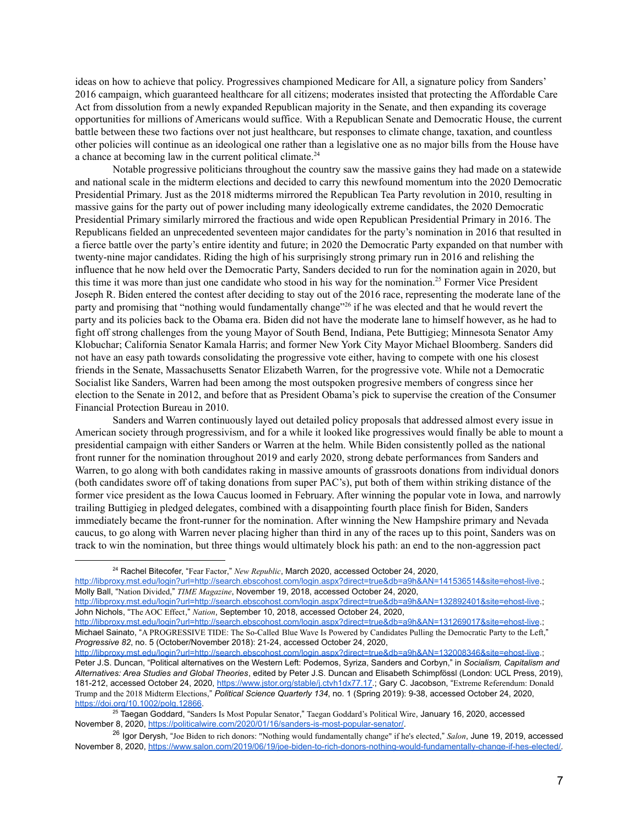ideas on how to achieve that policy. Progressives championed Medicare for All, a signature policy from Sanders' 2016 campaign, which guaranteed healthcare for all citizens; moderates insisted that protecting the Affordable Care Act from dissolution from a newly expanded Republican majority in the Senate, and then expanding its coverage opportunities for millions of Americans would suffice. With a Republican Senate and Democratic House, the current battle between these two factions over not just healthcare, but responses to climate change, taxation, and countless other policies will continue as an ideological one rather than a legislative one as no major bills from the House have a chance at becoming law in the current political climate.<sup>24</sup>

Notable progressive politicians throughout the country saw the massive gains they had made on a statewide and national scale in the midterm elections and decided to carry this newfound momentum into the 2020 Democratic Presidential Primary. Just as the 2018 midterms mirrored the Republican Tea Party revolution in 2010, resulting in massive gains for the party out of power including many ideologically extreme candidates, the 2020 Democratic Presidential Primary similarly mirrored the fractious and wide open Republican Presidential Primary in 2016. The Republicans fielded an unprecedented seventeen major candidates for the party's nomination in 2016 that resulted in a fierce battle over the party's entire identity and future; in 2020 the Democratic Party expanded on that number with twenty-nine major candidates. Riding the high of his surprisingly strong primary run in 2016 and relishing the influence that he now held over the Democratic Party, Sanders decided to run for the nomination again in 2020, but this time it was more than just one candidate who stood in his way for the nomination.<sup>25</sup> Former Vice President Joseph R. Biden entered the contest after deciding to stay out of the 2016 race, representing the moderate lane of the party and promising that "nothing would fundamentally change"<sup>26</sup> if he was elected and that he would revert the party and its policies back to the Obama era. Biden did not have the moderate lane to himself however, as he had to fight off strong challenges from the young Mayor of South Bend, Indiana, Pete Buttigieg; Minnesota Senator Amy Klobuchar; California Senator Kamala Harris; and former New York City Mayor Michael Bloomberg. Sanders did not have an easy path towards consolidating the progressive vote either, having to compete with one his closest friends in the Senate, Massachusetts Senator Elizabeth Warren, for the progressive vote. While not a Democratic Socialist like Sanders, Warren had been among the most outspoken progresive members of congress since her election to the Senate in 2012, and before that as President Obama's pick to supervise the creation of the Consumer Financial Protection Bureau in 2010.

Sanders and Warren continuously layed out detailed policy proposals that addressed almost every issue in American society through progressivism, and for a while it looked like progressives would finally be able to mount a presidential campaign with either Sanders or Warren at the helm. While Biden consistently polled as the national front runner for the nomination throughout 2019 and early 2020, strong debate performances from Sanders and Warren, to go along with both candidates raking in massive amounts of grassroots donations from individual donors (both candidates swore off of taking donations from super PAC's), put both of them within striking distance of the former vice president as the Iowa Caucus loomed in February. After winning the popular vote in Iowa, and narrowly trailing Buttigieg in pledged delegates, combined with a disappointing fourth place finish for Biden, Sanders immediately became the front-runner for the nomination. After winning the New Hampshire primary and Nevada caucus, to go along with Warren never placing higher than third in any of the races up to this point, Sanders was on track to win the nomination, but three things would ultimately block his path: an end to the non-aggression pact

<http://libproxy.mst.edu/login?url=http://search.ebscohost.com/login.aspx?direct=true&db=a9h&AN=132892401&site=ehost-live>.; John Nichols, "The AOC Effect," *Nation*, September 10, 2018, accessed October 24, 2020,

<http://libproxy.mst.edu/login?url=http://search.ebscohost.com/login.aspx?direct=true&db=a9h&AN=131269017&site=ehost-live>.; Michael Sainato, "A PROGRESSIVE TIDE: The So-Called Blue Wave Is Powered by Candidates Pulling the Democratic Party to the Left," *Progressive 82*, no. 5 (October/November 2018): 21-24, accessed October 24, 2020,

<sup>24</sup> Rachel Bitecofer, "Fear Factor," *New Republic*, March 2020, accessed October 24, 2020,

<http://libproxy.mst.edu/login?url=http://search.ebscohost.com/login.aspx?direct=true&db=a9h&AN=141536514&site=ehost-live>.; Molly Ball, "Nation Divided," *TIME Magazine*, November 19, 2018, accessed October 24, 2020,

<http://libproxy.mst.edu/login?url=http://search.ebscohost.com/login.aspx?direct=true&db=a9h&AN=132008346&site=ehost-live>.; Peter J.S. Duncan, "Political alternatives on the Western Left: Podemos, Syriza, Sanders and Corbyn," in *Socialism, Capitalism and Alternatives: Area Studies and Global Theories*, edited by Peter J.S. Duncan and Elisabeth Schimpfössl (London: UCL Press, 2019), 181-212, accessed October 24, 2020, [https://www.jstor.org/stable/j.ctvh1dx77.17.](https://www.jstor.org/stable/j.ctvh1dx77.17); Gary C. Jacobson, "Extreme Referendum: Donald Trump and the 2018 Midterm Elections," *Political Science Quarterly 134*, no. 1 (Spring 2019): 9-38, accessed October 24, 2020, <https://doi.org/10.1002/polq.12866>.

<sup>25</sup> Taegan Goddard, "Sanders Is Most Popular Senator," Taegan Goddard's Political Wire, January 16, 2020, accessed November 8, 2020, [https://politicalwire.com/2020/01/16/sanders-is-most-popular-senator/.](https://politicalwire.com/2020/01/16/sanders-is-most-popular-senator/)

<sup>26</sup> Igor Derysh, "Joe Biden to rich donors: "Nothing would fundamentally change" if he's elected," *Salon*, June 19, 2019, accessed November 8, 2020, [https://www.salon.com/2019/06/19/joe-biden-to-rich-donors-nothing-would-fundamentally-change-if-hes-elected/.](https://www.salon.com/2019/06/19/joe-biden-to-rich-donors-nothing-would-fundamentally-change-if-hes-elected/)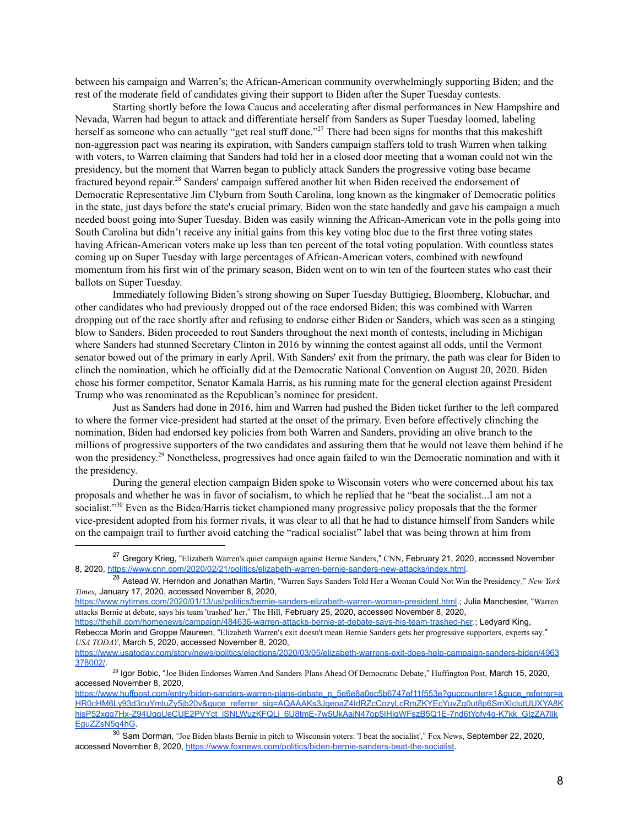between his campaign and Warren's; the African-American community overwhelmingly supporting Biden; and the rest of the moderate field of candidates giving their support to Biden after the Super Tuesday contests.

Starting shortly before the Iowa Caucus and accelerating after dismal performances in New Hampshire and Nevada, Warren had begun to attack and differentiate herself from Sanders as Super Tuesday loomed, labeling herself as someone who can actually "get real stuff done."<sup>27</sup> There had been signs for months that this makeshift non-aggression pact was nearing its expiration, with Sanders campaign staffers told to trash Warren when talking with voters, to Warren claiming that Sanders had told her in a closed door meeting that a woman could not win the presidency, but the moment that Warren began to publicly attack Sanders the progressive voting base became fractured beyond repair.<sup>28</sup> Sanders' campaign suffered another hit when Biden received the endorsement of Democratic Representative Jim Clyburn from South Carolina, long known as the kingmaker of Democratic politics in the state, just days before the state's crucial primary. Biden won the state handedly and gave his campaign a much needed boost going into Super Tuesday. Biden was easily winning the African-American vote in the polls going into South Carolina but didn't receive any initial gains from this key voting bloc due to the first three voting states having African-American voters make up less than ten percent of the total voting population. With countless states coming up on Super Tuesday with large percentages of African-American voters, combined with newfound momentum from his first win of the primary season, Biden went on to win ten of the fourteen states who cast their ballots on Super Tuesday.

Immediately following Biden's strong showing on Super Tuesday Buttigieg, Bloomberg, Klobuchar, and other candidates who had previously dropped out of the race endorsed Biden; this was combined with Warren dropping out of the race shortly after and refusing to endorse either Biden or Sanders, which was seen as a stinging blow to Sanders. Biden proceeded to rout Sanders throughout the next month of contests, including in Michigan where Sanders had stunned Secretary Clinton in 2016 by winning the contest against all odds, until the Vermont senator bowed out of the primary in early April. With Sanders' exit from the primary, the path was clear for Biden to clinch the nomination, which he officially did at the Democratic National Convention on August 20, 2020. Biden chose his former competitor, Senator Kamala Harris, as his running mate for the general election against President Trump who was renominated as the Republican's nominee for president.

Just as Sanders had done in 2016, him and Warren had pushed the Biden ticket further to the left compared to where the former vice-president had started at the onset of the primary. Even before effectively clinching the nomination, Biden had endorsed key policies from both Warren and Sanders, providing an olive branch to the millions of progressive supporters of the two candidates and assuring them that he would not leave them behind if he won the presidency.<sup>29</sup> Nonetheless, progressives had once again failed to win the Democratic nomination and with it the presidency.

During the general election campaign Biden spoke to Wisconsin voters who were concerned about his tax proposals and whether he was in favor of socialism, to which he replied that he "beat the socialist...I am not a socialist."<sup>30</sup> Even as the Biden/Harris ticket championed many progressive policy proposals that the the former vice-president adopted from his former rivals, it was clear to all that he had to distance himself from Sanders while on the campaign trail to further avoid catching the "radical socialist" label that was being thrown at him from

<sup>&</sup>lt;sup>27</sup> Gregory Krieg, "Elizabeth Warren's quiet campaign against Bernie Sanders," CNN, February 21, 2020, accessed November 8, 2020, <https://www.cnn.com/2020/02/21/politics/elizabeth-warren-bernie-sanders-new-attacks/index.html>.

<sup>28</sup> Astead W. Herndon and Jonathan Martin, "Warren Says Sanders Told Her a Woman Could Not Win the Presidency," *New York Times*, January 17, 2020, accessed November 8, 2020,

<https://www.nytimes.com/2020/01/13/us/politics/bernie-sanders-elizabeth-warren-woman-president.html>.; Julia Manchester, "Warren attacks Bernie at debate, says his team 'trashed' her," The Hill, February 25, 2020, accessed November 8, 2020,

<https://thehill.com/homenews/campaign/484636-warren-attacks-bernie-at-debate-says-his-team-trashed-her>.; Ledyard King, Rebecca Morin and Groppe Maureen, "Elizabeth Warren's exit doesn't mean Bernie Sanders gets her progressive supporters, experts say," *USA TODAY*, March 5, 2020, accessed November 8, 2020,

[https://www.usatoday.com/story/news/politics/elections/2020/03/05/elizabeth-warrens-exit-does-help-campaign-sanders-biden/4963](https://www.usatoday.com/story/news/politics/elections/2020/03/05/elizabeth-warrens-exit-does-help-campaign-sanders-biden/4963378002/) [378002/.](https://www.usatoday.com/story/news/politics/elections/2020/03/05/elizabeth-warrens-exit-does-help-campaign-sanders-biden/4963378002/)

<sup>29</sup> Igor Bobic, "Joe Biden Endorses Warren And Sanders Plans Ahead Of Democratic Debate," Huffington Post, March 15, 2020, accessed November 8, 2020,

https://www.huffpost.com/entry/biden-sanders-warren-plans-debate\_n\_5e6e8a0ec5b6747ef11f553e?guccounter=1&quce\_referrer=a [HR0cHM6Ly93d3cuYmluZy5jb20v&guce\\_referrer\\_sig=AQAAAKs3JgeoaZ4IdRZcCozyLcRmZKYEcYuvZg0ut8p6SmXIclutUUXYA8K](https://www.huffpost.com/entry/biden-sanders-warren-plans-debate_n_5e6e8a0ec5b6747ef11f553e?guccounter=1&guce_referrer=aHR0cHM6Ly93d3cuYmluZy5jb20v&guce_referrer_sig=AQAAAKs3JgeoaZ4IdRZcCozyLcRmZKYEcYuvZg0ut8p6SmXIclutUUXYA8KhjsP52xgq7Hx-Z94UgqUeCUE2PVYct_lSNLWuzKFQLj_6U8tmE-7w5UkAajN47op5IHlqWFszB5Q1E-7nd6tYofv4g-K7kk_GIzZA7llkEguZZsN5q4hG) hjsP52xgq7Hx-Z94UgqUeCUE2PVYct\_ISNLWuzKFQLj\_6U8tmE-7w5UkAajN47op5IHlqWFszB5Q1E-7nd6tYofv4g-K7kk\_GIzZA7llk [EguZZsN5q4hG.](https://www.huffpost.com/entry/biden-sanders-warren-plans-debate_n_5e6e8a0ec5b6747ef11f553e?guccounter=1&guce_referrer=aHR0cHM6Ly93d3cuYmluZy5jb20v&guce_referrer_sig=AQAAAKs3JgeoaZ4IdRZcCozyLcRmZKYEcYuvZg0ut8p6SmXIclutUUXYA8KhjsP52xgq7Hx-Z94UgqUeCUE2PVYct_lSNLWuzKFQLj_6U8tmE-7w5UkAajN47op5IHlqWFszB5Q1E-7nd6tYofv4g-K7kk_GIzZA7llkEguZZsN5q4hG)

 $30$  Sam Dorman, "Joe Biden blasts Bernie in pitch to Wisconsin voters: 'I beat the socialist'," Fox News, September 22, 2020, accessed November 8, 2020, <https://www.foxnews.com/politics/biden-bernie-sanders-beat-the-socialist>.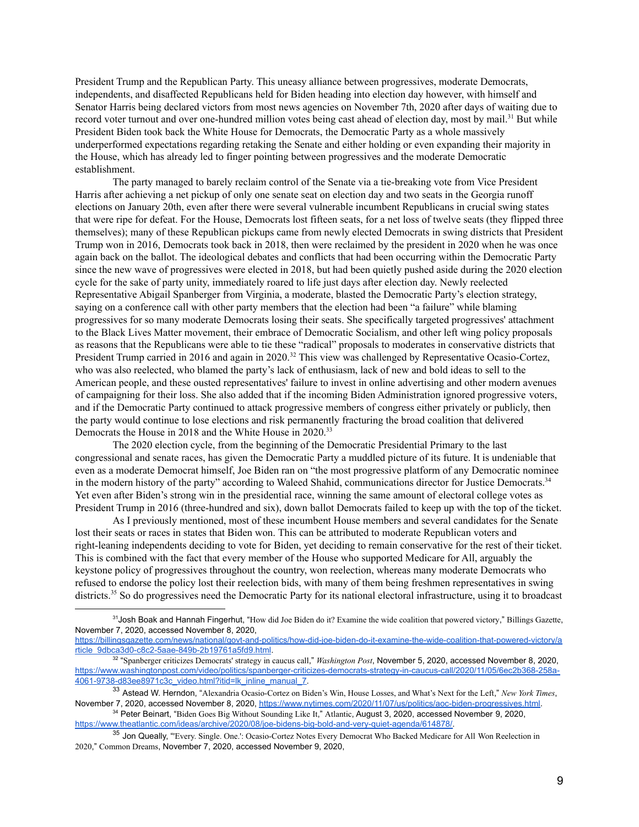President Trump and the Republican Party. This uneasy alliance between progressives, moderate Democrats, independents, and disaffected Republicans held for Biden heading into election day however, with himself and Senator Harris being declared victors from most news agencies on November 7th, 2020 after days of waiting due to record voter turnout and over one-hundred million votes being cast ahead of election day, most by mail.<sup>31</sup> But while President Biden took back the White House for Democrats, the Democratic Party as a whole massively underperformed expectations regarding retaking the Senate and either holding or even expanding their majority in the House, which has already led to finger pointing between progressives and the moderate Democratic establishment.

The party managed to barely reclaim control of the Senate via a tie-breaking vote from Vice President Harris after achieving a net pickup of only one senate seat on election day and two seats in the Georgia runoff elections on January 20th, even after there were several vulnerable incumbent Republicans in crucial swing states that were ripe for defeat. For the House, Democrats lost fifteen seats, for a net loss of twelve seats (they flipped three themselves); many of these Republican pickups came from newly elected Democrats in swing districts that President Trump won in 2016, Democrats took back in 2018, then were reclaimed by the president in 2020 when he was once again back on the ballot. The ideological debates and conflicts that had been occurring within the Democratic Party since the new wave of progressives were elected in 2018, but had been quietly pushed aside during the 2020 election cycle for the sake of party unity, immediately roared to life just days after election day. Newly reelected Representative Abigail Spanberger from Virginia, a moderate, blasted the Democratic Party's election strategy, saying on a conference call with other party members that the election had been "a failure" while blaming progressives for so many moderate Democrats losing their seats. She specifically targeted progressives' attachment to the Black Lives Matter movement, their embrace of Democratic Socialism, and other left wing policy proposals as reasons that the Republicans were able to tie these "radical" proposals to moderates in conservative districts that President Trump carried in 2016 and again in 2020.<sup>32</sup> This view was challenged by Representative Ocasio-Cortez, who was also reelected, who blamed the party's lack of enthusiasm, lack of new and bold ideas to sell to the American people, and these ousted representatives' failure to invest in online advertising and other modern avenues of campaigning for their loss. She also added that if the incoming Biden Administration ignored progressive voters, and if the Democratic Party continued to attack progressive members of congress either privately or publicly, then the party would continue to lose elections and risk permanently fracturing the broad coalition that delivered Democrats the House in 2018 and the White House in 2020.<sup>33</sup>

The 2020 election cycle, from the beginning of the Democratic Presidential Primary to the last congressional and senate races, has given the Democratic Party a muddled picture of its future. It is undeniable that even as a moderate Democrat himself, Joe Biden ran on "the most progressive platform of any Democratic nominee in the modern history of the party" according to Waleed Shahid, communications director for Justice Democrats.<sup>34</sup> Yet even after Biden's strong win in the presidential race, winning the same amount of electoral college votes as President Trump in 2016 (three-hundred and six), down ballot Democrats failed to keep up with the top of the ticket.

As I previously mentioned, most of these incumbent House members and several candidates for the Senate lost their seats or races in states that Biden won. This can be attributed to moderate Republican voters and right-leaning independents deciding to vote for Biden, yet deciding to remain conservative for the rest of their ticket. This is combined with the fact that every member of the House who supported Medicare for All, arguably the keystone policy of progressives throughout the country, won reelection, whereas many moderate Democrats who refused to endorse the policy lost their reelection bids, with many of them being freshmen representatives in swing districts.<sup>35</sup> So do progressives need the Democratic Party for its national electoral infrastructure, using it to broadcast

<sup>&</sup>lt;sup>31</sup>Josh Boak and Hannah Fingerhut, "How did Joe Biden do it? Examine the wide coalition that powered victory," Billings Gazette, November 7, 2020, accessed November 8, 2020,

[https://billingsgazette.com/news/national/govt-and-politics/how-did-joe-biden-do-it-examine-the-wide-coalition-that-powered-victory/a](https://billingsgazette.com/news/national/govt-and-politics/how-did-joe-biden-do-it-examine-the-wide-coalition-that-powered-victory/article_9dbca3d0-c8c2-5aae-849b-2b19761a5fd9.html) [rticle\\_9dbca3d0-c8c2-5aae-849b-2b19761a5fd9.html.](https://billingsgazette.com/news/national/govt-and-politics/how-did-joe-biden-do-it-examine-the-wide-coalition-that-powered-victory/article_9dbca3d0-c8c2-5aae-849b-2b19761a5fd9.html)

<sup>32</sup> "Spanberger criticizes Democrats' strategy in caucus call," *Washington Post*, November 5, 2020, accessed November 8, 2020, [https://www.washingtonpost.com/video/politics/spanberger-criticizes-democrats-strategy-in-caucus-call/2020/11/05/6ec2b368-258a-](https://www.washingtonpost.com/video/politics/spanberger-criticizes-democrats-strategy-in-caucus-call/2020/11/05/6ec2b368-258a-4061-9738-d83ee8971c3c_video.html?itid=lk_inline_manual_7)[4061-9738-d83ee8971c3c\\_video.html?itid=lk\\_inline\\_manual\\_7.](https://www.washingtonpost.com/video/politics/spanberger-criticizes-democrats-strategy-in-caucus-call/2020/11/05/6ec2b368-258a-4061-9738-d83ee8971c3c_video.html?itid=lk_inline_manual_7)

<sup>33</sup> Astead W. Herndon, "Alexandria Ocasio-Cortez on Biden's Win, House Losses, and What's Next for the Left," *New York Times*, November 7, 2020, accessed November 8, 2020, [https://www.nytimes.com/2020/11/07/us/politics/aoc-biden-progressives.html.](https://www.nytimes.com/2020/11/07/us/politics/aoc-biden-progressives.html)

<sup>34</sup> Peter Beinart, "Biden Goes Big Without Sounding Like It," Atlantic, August 3, 2020, accessed November 9, 2020, [https://www.theatlantic.com/ideas/archive/2020/08/joe-bidens-big-bold-and-very-quiet-agenda/614878/.](https://www.theatlantic.com/ideas/archive/2020/08/joe-bidens-big-bold-and-very-quiet-agenda/614878/)

<sup>&</sup>lt;sup>35</sup> Jon Queally, "Every. Single. One.': Ocasio-Cortez Notes Every Democrat Who Backed Medicare for All Won Reelection in 2020," Common Dreams, November 7, 2020, accessed November 9, 2020,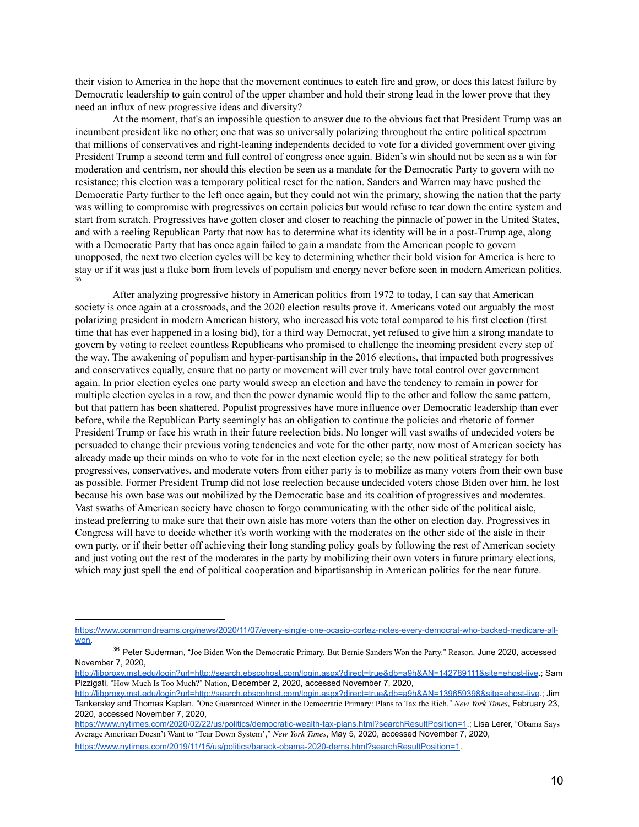their vision to America in the hope that the movement continues to catch fire and grow, or does this latest failure by Democratic leadership to gain control of the upper chamber and hold their strong lead in the lower prove that they need an influx of new progressive ideas and diversity?

At the moment, that's an impossible question to answer due to the obvious fact that President Trump was an incumbent president like no other; one that was so universally polarizing throughout the entire political spectrum that millions of conservatives and right-leaning independents decided to vote for a divided government over giving President Trump a second term and full control of congress once again. Biden's win should not be seen as a win for moderation and centrism, nor should this election be seen as a mandate for the Democratic Party to govern with no resistance; this election was a temporary political reset for the nation. Sanders and Warren may have pushed the Democratic Party further to the left once again, but they could not win the primary, showing the nation that the party was willing to compromise with progressives on certain policies but would refuse to tear down the entire system and start from scratch. Progressives have gotten closer and closer to reaching the pinnacle of power in the United States, and with a reeling Republican Party that now has to determine what its identity will be in a post-Trump age, along with a Democratic Party that has once again failed to gain a mandate from the American people to govern unopposed, the next two election cycles will be key to determining whether their bold vision for America is here to stay or if it was just a fluke born from levels of populism and energy never before seen in modern American politics. 36

After analyzing progressive history in American politics from 1972 to today, I can say that American society is once again at a crossroads, and the 2020 election results prove it. Americans voted out arguably the most polarizing president in modern American history, who increased his vote total compared to his first election (first time that has ever happened in a losing bid), for a third way Democrat, yet refused to give him a strong mandate to govern by voting to reelect countless Republicans who promised to challenge the incoming president every step of the way. The awakening of populism and hyper-partisanship in the 2016 elections, that impacted both progressives and conservatives equally, ensure that no party or movement will ever truly have total control over government again. In prior election cycles one party would sweep an election and have the tendency to remain in power for multiple election cycles in a row, and then the power dynamic would flip to the other and follow the same pattern, but that pattern has been shattered. Populist progressives have more influence over Democratic leadership than ever before, while the Republican Party seemingly has an obligation to continue the policies and rhetoric of former President Trump or face his wrath in their future reelection bids. No longer will vast swaths of undecided voters be persuaded to change their previous voting tendencies and vote for the other party, now most of American society has already made up their minds on who to vote for in the next election cycle; so the new political strategy for both progressives, conservatives, and moderate voters from either party is to mobilize as many voters from their own base as possible. Former President Trump did not lose reelection because undecided voters chose Biden over him, he lost because his own base was out mobilized by the Democratic base and its coalition of progressives and moderates. Vast swaths of American society have chosen to forgo communicating with the other side of the political aisle, instead preferring to make sure that their own aisle has more voters than the other on election day. Progressives in Congress will have to decide whether it's worth working with the moderates on the other side of the aisle in their own party, or if their better off achieving their long standing policy goals by following the rest of American society and just voting out the rest of the moderates in the party by mobilizing their own voters in future primary elections, which may just spell the end of political cooperation and bipartisanship in American politics for the near future.

[https://www.commondreams.org/news/2020/11/07/every-single-one-ocasio-cortez-notes-every-democrat-who-backed-medicare-all](https://www.commondreams.org/news/2020/11/07/every-single-one-ocasio-cortez-notes-every-democrat-who-backed-medicare-all-won)[won.](https://www.commondreams.org/news/2020/11/07/every-single-one-ocasio-cortez-notes-every-democrat-who-backed-medicare-all-won)

<sup>&</sup>lt;sup>36</sup> Peter Suderman, "Joe Biden Won the Democratic Primary. But Bernie Sanders Won the Party." Reason, June 2020, accessed November 7, 2020,

<http://libproxy.mst.edu/login?url=http://search.ebscohost.com/login.aspx?direct=true&db=a9h&AN=142789111&site=ehost-live>.; Sam Pizzigati, "How Much Is Too Much?" Nation, December 2, 2020, accessed November 7, 2020,

<http://libproxy.mst.edu/login?url=http://search.ebscohost.com/login.aspx?direct=true&db=a9h&AN=139659398&site=ehost-live>.; Jim Tankersley and Thomas Kaplan, "One Guaranteed Winner in the Democratic Primary: Plans to Tax the Rich," *New York Times*, February 23, 2020, accessed November 7, 2020,

[https://www.nytimes.com/2020/02/22/us/politics/democratic-wealth-tax-plans.html?searchResultPosition=1.](https://www.nytimes.com/2020/02/22/us/politics/democratic-wealth-tax-plans.html?searchResultPosition=1); Lisa Lerer, "Obama Says Average American Doesn't Want to 'Tear Down System'," *New York Times*, May 5, 2020, accessed November 7, 2020, [https://www.nytimes.com/2019/11/15/us/politics/barack-obama-2020-dems.html?searchResultPosition=1.](https://www.nytimes.com/2019/11/15/us/politics/barack-obama-2020-dems.html?searchResultPosition=1)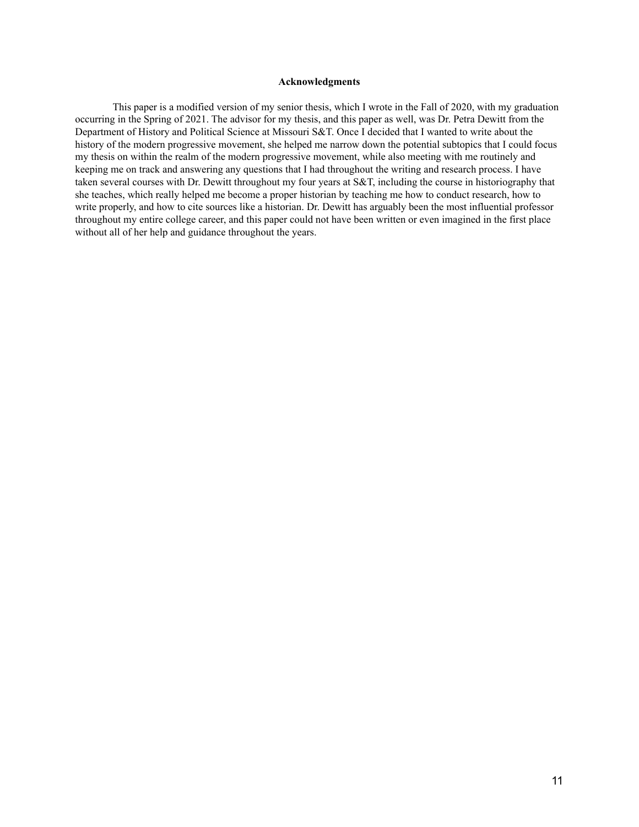#### **Acknowledgments**

This paper is a modified version of my senior thesis, which I wrote in the Fall of 2020, with my graduation occurring in the Spring of 2021. The advisor for my thesis, and this paper as well, was Dr. Petra Dewitt from the Department of History and Political Science at Missouri S&T. Once I decided that I wanted to write about the history of the modern progressive movement, she helped me narrow down the potential subtopics that I could focus my thesis on within the realm of the modern progressive movement, while also meeting with me routinely and keeping me on track and answering any questions that I had throughout the writing and research process. I have taken several courses with Dr. Dewitt throughout my four years at S&T, including the course in historiography that she teaches, which really helped me become a proper historian by teaching me how to conduct research, how to write properly, and how to cite sources like a historian. Dr. Dewitt has arguably been the most influential professor throughout my entire college career, and this paper could not have been written or even imagined in the first place without all of her help and guidance throughout the years.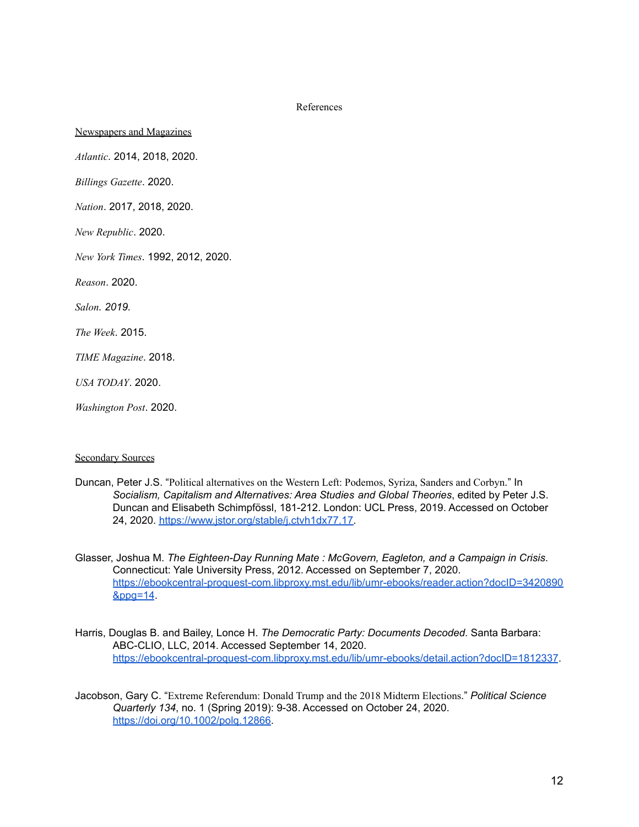References

Newspapers and Magazines

*Atlantic.* 2014, 2018, 2020.

*Billings Gazette*. 2020.

*Nation*. 2017, 2018, 2020.

*New Republic*. 2020.

*New York Times*. 1992, 2012, 2020.

*Reason*. 2020.

*Salon. 2019.*

*The Week*. 2015.

*TIME Magazine*. 2018.

*USA TODAY*. 2020.

*Washington Post*. 2020.

#### Secondary Sources

- Duncan, Peter J.S. "Political alternatives on the Western Left: Podemos, Syriza, Sanders and Corbyn." In *Socialism, Capitalism and Alternatives: Area Studies and Global Theories*, edited by Peter J.S. Duncan and Elisabeth Schimpfössl, 181-212. London: UCL Press, 2019. Accessed on October 24, 2020. [https://www.jstor.org/stable/j.ctvh1dx77.17.](https://www.jstor.org/stable/j.ctvh1dx77.17)
- Glasser, Joshua M. *The Eighteen-Day Running Mate : McGovern, Eagleton, and a Campaign in Crisis*. Connecticut: Yale University Press, 2012. Accessed on September 7, 2020. [https://ebookcentral-proquest-com.libproxy.mst.edu/lib/umr-ebooks/reader.action?docID=3420890](https://ebookcentral-proquest-com.libproxy.mst.edu/lib/umr-ebooks/reader.action?docID=3420890&ppg=14) [&ppg=14](https://ebookcentral-proquest-com.libproxy.mst.edu/lib/umr-ebooks/reader.action?docID=3420890&ppg=14).
- Harris, Douglas B. and Bailey, Lonce H. *The Democratic Party: Documents Decoded*. Santa Barbara: ABC-CLIO, LLC, 2014. Accessed September 14, 2020. <https://ebookcentral-proquest-com.libproxy.mst.edu/lib/umr-ebooks/detail.action?docID=1812337>.
- Jacobson, Gary C. "Extreme Referendum: Donald Trump and the 2018 Midterm Elections." *Political Science Quarterly 134*, no. 1 (Spring 2019): 9-38. Accessed on October 24, 2020. [https://doi.org/10.1002/polq.12866.](https://doi.org/10.1002/polq.12866)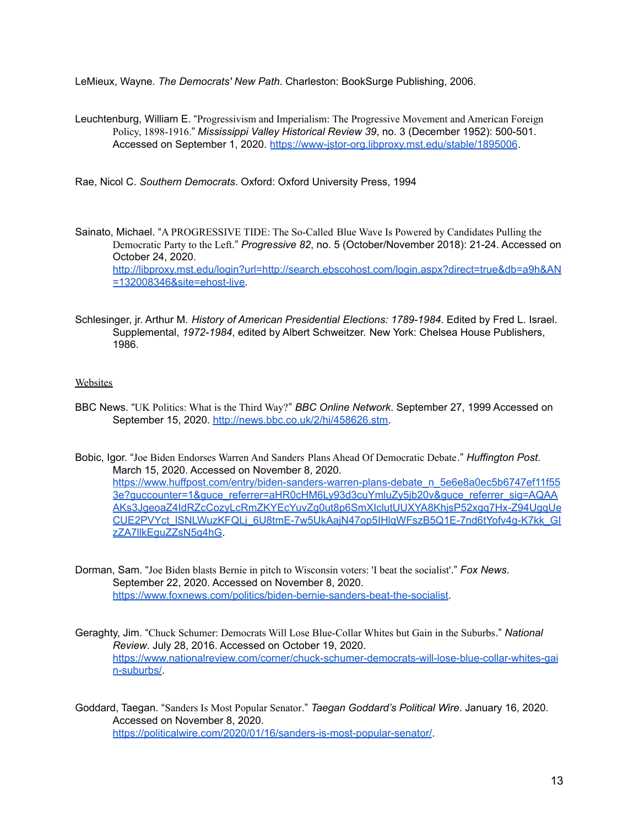LeMieux, Wayne. *The Democrats' New Path*. Charleston: BookSurge Publishing, 2006.

Leuchtenburg, William E. "Progressivism and Imperialism: The Progressive Movement and American Foreign Policy, 1898-1916." *Mississippi Valley Historical Review 39*, no. 3 (December 1952): 500-501. Accessed on September 1, 2020. <https://www-jstor-org.libproxy.mst.edu/stable/1895006>.

Rae, Nicol C. *Southern Democrats*. Oxford: Oxford University Press, 1994

- Sainato, Michael. "A PROGRESSIVE TIDE: The So-Called Blue Wave Is Powered by Candidates Pulling the Democratic Party to the Left." *Progressive 82*, no. 5 (October/November 2018): 21-24. Accessed on October 24, 2020. [http://libproxy.mst.edu/login?url=http://search.ebscohost.com/login.aspx?direct=true&db=a9h&AN](http://libproxy.mst.edu/login?url=http://search.ebscohost.com/login.aspx?direct=true&db=a9h&AN=132008346&site=ehost-live) [=132008346&site=ehost-live.](http://libproxy.mst.edu/login?url=http://search.ebscohost.com/login.aspx?direct=true&db=a9h&AN=132008346&site=ehost-live)
- Schlesinger, jr. Arthur M. *History of American Presidential Elections: 1789-1984*. Edited by Fred L. Israel. Supplemental, *1972-1984*, edited by Albert Schweitzer. New York: Chelsea House Publishers, 1986.

## **Websites**

- BBC News. "UK Politics: What is the Third Way?" *BBC Online Network*. September 27, 1999 Accessed on September 15, 2020. [http://news.bbc.co.uk/2/hi/458626.stm.](http://news.bbc.co.uk/2/hi/458626.stm)
- Bobic, Igor. "Joe Biden Endorses Warren And Sanders Plans Ahead Of Democratic Debate." *Huffington Post*. March 15, 2020. Accessed on November 8, 2020. [https://www.huffpost.com/entry/biden-sanders-warren-plans-debate\\_n\\_5e6e8a0ec5b6747ef11f55](https://www.huffpost.com/entry/biden-sanders-warren-plans-debate_n_5e6e8a0ec5b6747ef11f553e?guccounter=1&guce_referrer=aHR0cHM6Ly93d3cuYmluZy5jb20v&guce_referrer_sig=AQAAAKs3JgeoaZ4IdRZcCozyLcRmZKYEcYuvZg0ut8p6SmXIclutUUXYA8KhjsP52xgq7Hx-Z94UgqUeCUE2PVYct_lSNLWuzKFQLj_6U8tmE-7w5UkAajN47op5IHlqWFszB5Q1E-7nd6tYofv4g-K7kk_GIzZA7llkEguZZsN5q4hG) [3e?guccounter=1&guce\\_referrer=aHR0cHM6Ly93d3cuYmluZy5jb20v&guce\\_referrer\\_sig=AQAA](https://www.huffpost.com/entry/biden-sanders-warren-plans-debate_n_5e6e8a0ec5b6747ef11f553e?guccounter=1&guce_referrer=aHR0cHM6Ly93d3cuYmluZy5jb20v&guce_referrer_sig=AQAAAKs3JgeoaZ4IdRZcCozyLcRmZKYEcYuvZg0ut8p6SmXIclutUUXYA8KhjsP52xgq7Hx-Z94UgqUeCUE2PVYct_lSNLWuzKFQLj_6U8tmE-7w5UkAajN47op5IHlqWFszB5Q1E-7nd6tYofv4g-K7kk_GIzZA7llkEguZZsN5q4hG) [AKs3JgeoaZ4IdRZcCozyLcRmZKYEcYuvZg0ut8p6SmXIclutUUXYA8KhjsP52xgq7Hx-Z94UgqUe](https://www.huffpost.com/entry/biden-sanders-warren-plans-debate_n_5e6e8a0ec5b6747ef11f553e?guccounter=1&guce_referrer=aHR0cHM6Ly93d3cuYmluZy5jb20v&guce_referrer_sig=AQAAAKs3JgeoaZ4IdRZcCozyLcRmZKYEcYuvZg0ut8p6SmXIclutUUXYA8KhjsP52xgq7Hx-Z94UgqUeCUE2PVYct_lSNLWuzKFQLj_6U8tmE-7w5UkAajN47op5IHlqWFszB5Q1E-7nd6tYofv4g-K7kk_GIzZA7llkEguZZsN5q4hG) [CUE2PVYct\\_lSNLWuzKFQLj\\_6U8tmE-7w5UkAajN47op5IHlqWFszB5Q1E-7nd6tYofv4g-K7kk\\_GI](https://www.huffpost.com/entry/biden-sanders-warren-plans-debate_n_5e6e8a0ec5b6747ef11f553e?guccounter=1&guce_referrer=aHR0cHM6Ly93d3cuYmluZy5jb20v&guce_referrer_sig=AQAAAKs3JgeoaZ4IdRZcCozyLcRmZKYEcYuvZg0ut8p6SmXIclutUUXYA8KhjsP52xgq7Hx-Z94UgqUeCUE2PVYct_lSNLWuzKFQLj_6U8tmE-7w5UkAajN47op5IHlqWFszB5Q1E-7nd6tYofv4g-K7kk_GIzZA7llkEguZZsN5q4hG) [zZA7llkEguZZsN5q4hG.](https://www.huffpost.com/entry/biden-sanders-warren-plans-debate_n_5e6e8a0ec5b6747ef11f553e?guccounter=1&guce_referrer=aHR0cHM6Ly93d3cuYmluZy5jb20v&guce_referrer_sig=AQAAAKs3JgeoaZ4IdRZcCozyLcRmZKYEcYuvZg0ut8p6SmXIclutUUXYA8KhjsP52xgq7Hx-Z94UgqUeCUE2PVYct_lSNLWuzKFQLj_6U8tmE-7w5UkAajN47op5IHlqWFszB5Q1E-7nd6tYofv4g-K7kk_GIzZA7llkEguZZsN5q4hG)
- Dorman, Sam. "Joe Biden blasts Bernie in pitch to Wisconsin voters: 'I beat the socialist'." *Fox News*. September 22, 2020. Accessed on November 8, 2020. [https://www.foxnews.com/politics/biden-bernie-sanders-beat-the-socialist.](https://www.foxnews.com/politics/biden-bernie-sanders-beat-the-socialist)
- Geraghty, Jim. "Chuck Schumer: Democrats Will Lose Blue-Collar Whites but Gain in the Suburbs." *National Review*. July 28, 2016. Accessed on October 19, 2020. [https://www.nationalreview.com/corner/chuck-schumer-democrats-will-lose-blue-collar-whites-gai](https://www.nationalreview.com/corner/chuck-schumer-democrats-will-lose-blue-collar-whites-gain-suburbs/) [n-suburbs/](https://www.nationalreview.com/corner/chuck-schumer-democrats-will-lose-blue-collar-whites-gain-suburbs/).
- Goddard, Taegan. "Sanders Is Most Popular Senator." *Taegan Goddard's Political Wire*. January 16, 2020. Accessed on November 8, 2020. <https://politicalwire.com/2020/01/16/sanders-is-most-popular-senator/>.